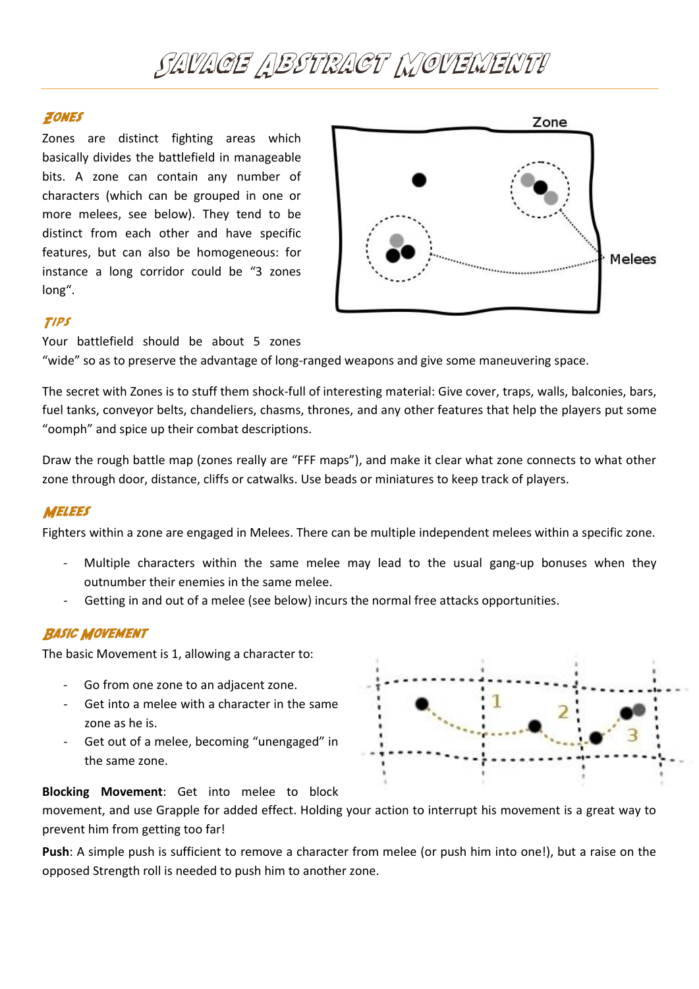# SAVACE ABSTRACT NOVENENTI

### ZONES

Zones are distinct fighting areas which basically divides the battlefield in manageable bits. A zone can contain any number of characters (which can be grouped in one or more melees, see below). They tend to be distinct from each other and have specific features, but can also be homogeneous: for instance a long corridor could be "3 zones long".



## TIPS

Your battlefield should be about 5 zones

"wide" so as to preserve the advantage of long-ranged weapons and give some maneuvering space.

The secret with Zones is to stuff them shock-full of interesting material: Give cover, traps, walls, balconies, bars, fuel tanks, conveyor belts, chandeliers, chasms, thrones, and any other features that help the players put some "oomph" and spice up their combat descriptions.

Draw the rough battle map (zones really are "FFF maps"), and make it clear what zone connects to what other zone through door, distance, cliffs or catwalks. Use beads or miniatures to keep track of players.

#### **MELEES**

Fighters within a zone are engaged in Melees. There can be multiple independent melees within a specific zone.

- Multiple characters within the same melee may lead to the usual gang-up bonuses when they outnumber their enemies in the same melee.
- Getting in and out of a melee (see below) incurs the normal free attacks opportunities.

#### **BASIC MOVEMENT**

The basic Movement is 1, allowing a character to:

- Go from one zone to an adjacent zone.
- Get into a melee with a character in the same zone as he is.
- Get out of a melee, becoming "unengaged" in the same zone.



#### **Blocking Movement**: Get into melee to block

movement, and use Grapple for added effect. Holding your action to interrupt his movement is a great way to prevent him from getting too far!

**Push**: A simple push is sufficient to remove a character from melee (or push him into one!), but a raise on the opposed Strength roll is needed to push him to another zone.